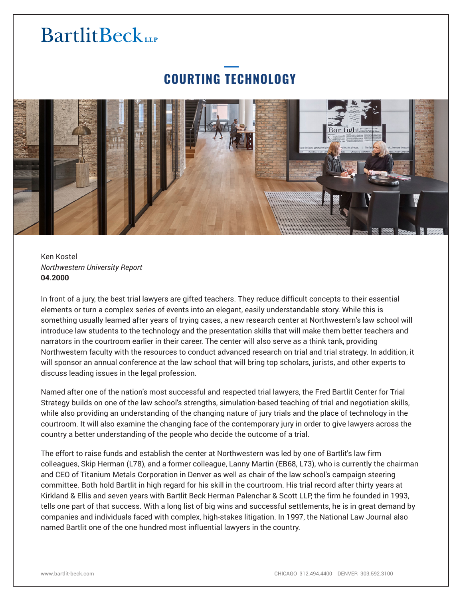## **BartlitBeck**

## **COURTING TECHNOLOGY**



Ken Kostel *Northwestern University Report* **04.2000**

In front of a jury, the best trial lawyers are gifted teachers. They reduce difficult concepts to their essential elements or turn a complex series of events into an elegant, easily understandable story. While this is something usually learned after years of trying cases, a new research center at Northwestern's law school will introduce law students to the technology and the presentation skills that will make them better teachers and narrators in the courtroom earlier in their career. The center will also serve as a think tank, providing Northwestern faculty with the resources to conduct advanced research on trial and trial strategy. In addition, it will sponsor an annual conference at the law school that will bring top scholars, jurists, and other experts to discuss leading issues in the legal profession.

Named after one of the nation's most successful and respected trial lawyers, the Fred Bartlit Center for Trial Strategy builds on one of the law school's strengths, simulation-based teaching of trial and negotiation skills, while also providing an understanding of the changing nature of jury trials and the place of technology in the courtroom. It will also examine the changing face of the contemporary jury in order to give lawyers across the country a better understanding of the people who decide the outcome of a trial.

The effort to raise funds and establish the center at Northwestern was led by one of Bartlit's law firm colleagues, Skip Herman (L78), and a former colleague, Lanny Martin (EB68, L73), who is currently the chairman and CEO of Titanium Metals Corporation in Denver as well as chair of the law school's campaign steering committee. Both hold Bartlit in high regard for his skill in the courtroom. His trial record after thirty years at Kirkland & Ellis and seven years with Bartlit Beck Herman Palenchar & Scott LLP, the firm he founded in 1993, tells one part of that success. With a long list of big wins and successful settlements, he is in great demand by companies and individuals faced with complex, high-stakes litigation. In 1997, the National Law Journal also named Bartlit one of the one hundred most influential lawyers in the country.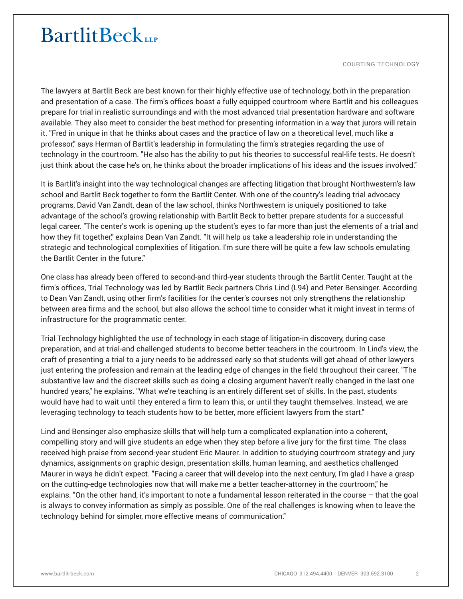## **BartlitBeck**

COURTING TECHNOLOGY

The lawyers at Bartlit Beck are best known for their highly effective use of technology, both in the preparation and presentation of a case. The firm's offices boast a fully equipped courtroom where Bartlit and his colleagues prepare for trial in realistic surroundings and with the most advanced trial presentation hardware and software available. They also meet to consider the best method for presenting information in a way that jurors will retain it. "Fred in unique in that he thinks about cases and the practice of law on a theoretical level, much like a professor," says Herman of Bartlit's leadership in formulating the firm's strategies regarding the use of technology in the courtroom. "He also has the ability to put his theories to successful real-life tests. He doesn't just think about the case he's on, he thinks about the broader implications of his ideas and the issues involved."

It is Bartlit's insight into the way technological changes are affecting litigation that brought Northwestern's law school and Bartlit Beck together to form the Bartlit Center. With one of the country's leading trial advocacy programs, David Van Zandt, dean of the law school, thinks Northwestern is uniquely positioned to take advantage of the school's growing relationship with Bartlit Beck to better prepare students for a successful legal career. "The center's work is opening up the student's eyes to far more than just the elements of a trial and how they fit together," explains Dean Van Zandt. "It will help us take a leadership role in understanding the strategic and technological complexities of litigation. I'm sure there will be quite a few law schools emulating the Bartlit Center in the future."

One class has already been offered to second-and third-year students through the Bartlit Center. Taught at the firm's offices, Trial Technology was led by Bartlit Beck partners Chris Lind (L94) and Peter Bensinger. According to Dean Van Zandt, using other firm's facilities for the center's courses not only strengthens the relationship between area firms and the school, but also allows the school time to consider what it might invest in terms of infrastructure for the programmatic center.

Trial Technology highlighted the use of technology in each stage of litigation-in discovery, during case preparation, and at trial-and challenged students to become better teachers in the courtroom. In Lind's view, the craft of presenting a trial to a jury needs to be addressed early so that students will get ahead of other lawyers just entering the profession and remain at the leading edge of changes in the field throughout their career. "The substantive law and the discreet skills such as doing a closing argument haven't really changed in the last one hundred years," he explains. "What we're teaching is an entirely different set of skills. In the past, students would have had to wait until they entered a firm to learn this, or until they taught themselves. Instead, we are leveraging technology to teach students how to be better, more efficient lawyers from the start."

Lind and Bensinger also emphasize skills that will help turn a complicated explanation into a coherent, compelling story and will give students an edge when they step before a live jury for the first time. The class received high praise from second-year student Eric Maurer. In addition to studying courtroom strategy and jury dynamics, assignments on graphic design, presentation skills, human learning, and aesthetics challenged Maurer in ways he didn't expect. "Facing a career that will develop into the next century, I'm glad I have a grasp on the cutting-edge technologies now that will make me a better teacher-attorney in the courtroom," he explains. "On the other hand, it's important to note a fundamental lesson reiterated in the course – that the goal is always to convey information as simply as possible. One of the real challenges is knowing when to leave the technology behind for simpler, more effective means of communication."